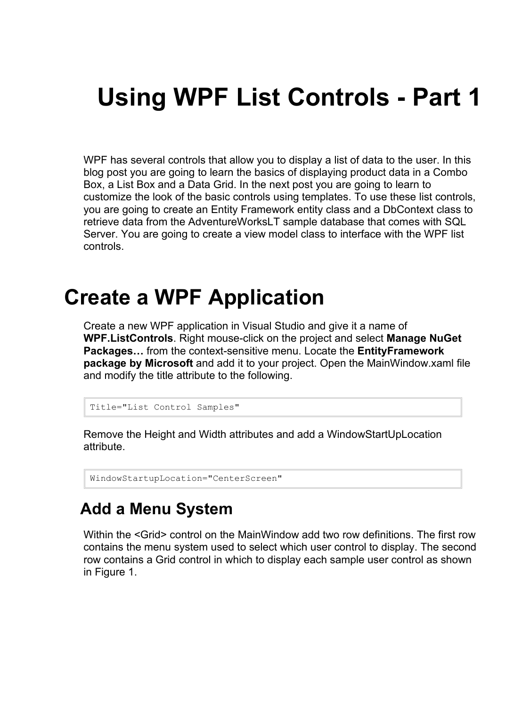# **Using WPF List Controls - Part 1**

WPF has several controls that allow you to display a list of data to the user. In this blog post you are going to learn the basics of displaying product data in a Combo Box, a List Box and a Data Grid. In the next post you are going to learn to customize the look of the basic controls using templates. To use these list controls, you are going to create an Entity Framework entity class and a DbContext class to retrieve data from the AdventureWorksLT sample database that comes with SQL Server. You are going to create a view model class to interface with the WPF list controls.

## **Create a WPF Application**

Create a new WPF application in Visual Studio and give it a name of **WPF.ListControls**. Right mouse-click on the project and select **Manage NuGet Packages…** from the context-sensitive menu. Locate the **EntityFramework package by Microsoft** and add it to your project. Open the MainWindow.xaml file and modify the title attribute to the following.

```
Title="List Control Samples"
```
Remove the Height and Width attributes and add a WindowStartUpLocation attribute.

```
WindowStartupLocation="CenterScreen"
```
#### **Add a Menu System**

Within the <Grid> control on the MainWindow add two row definitions. The first row contains the menu system used to select which user control to display. The second row contains a Grid control in which to display each sample user control as shown in Figure 1.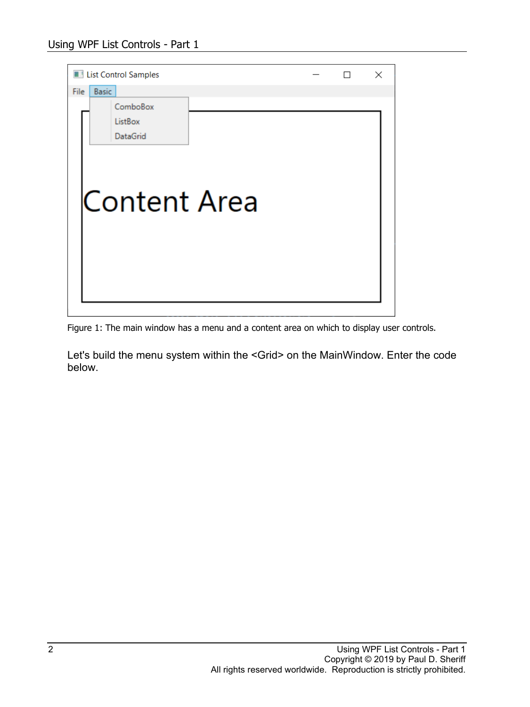|      |              | List Control Samples |  |  | × |
|------|--------------|----------------------|--|--|---|
| File | <b>Basic</b> |                      |  |  |   |
|      |              | ComboBox             |  |  |   |
|      |              | ListBox              |  |  |   |
|      |              | DataGrid             |  |  |   |
|      |              |                      |  |  |   |
|      |              |                      |  |  |   |
|      |              |                      |  |  |   |
|      |              | Content Area         |  |  |   |
|      |              |                      |  |  |   |
|      |              |                      |  |  |   |
|      |              |                      |  |  |   |
|      |              |                      |  |  |   |
|      |              |                      |  |  |   |
|      |              |                      |  |  |   |
|      |              |                      |  |  |   |

Figure 1: The main window has a menu and a content area on which to display user controls.

Let's build the menu system within the <Grid> on the MainWindow. Enter the code below.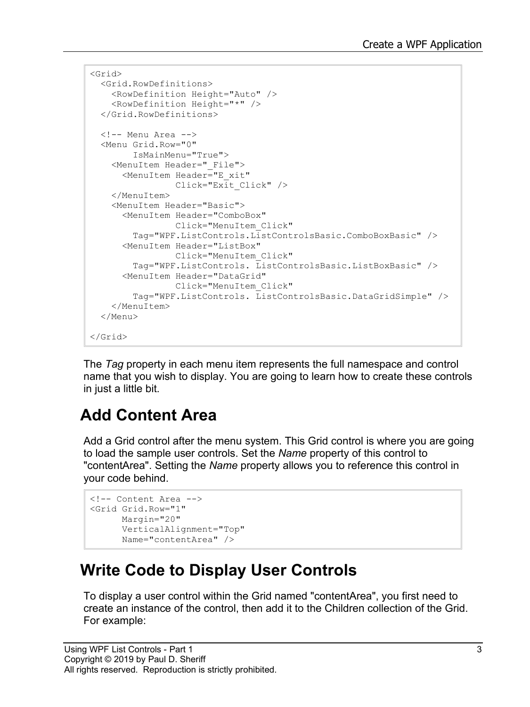```
<Grid>
  <Grid.RowDefinitions>
     <RowDefinition Height="Auto" />
     <RowDefinition Height="*" />
   </Grid.RowDefinitions>
  \langle!-- Menu Area -->
   <Menu Grid.Row="0"
        IsMainMenu="True">
     <MenuItem Header="_File">
       <MenuItem Header="E_xit"
                 Click="Exit_Click" />
     </MenuItem>
     <MenuItem Header="Basic">
       <MenuItem Header="ComboBox"
                 Click="MenuItem_Click"
         Tag="WPF.ListControls.ListControlsBasic.ComboBoxBasic" />
       <MenuItem Header="ListBox"
                 Click="MenuItem_Click"
         Tag="WPF.ListControls. ListControlsBasic.ListBoxBasic" />
       <MenuItem Header="DataGrid"
                 Click="MenuItem_Click"
         Tag="WPF.ListControls. ListControlsBasic.DataGridSimple" />
     </MenuItem>
   </Menu>
</Grid>
```
The *Tag* property in each menu item represents the full namespace and control name that you wish to display. You are going to learn how to create these controls in just a little bit.

#### **Add Content Area**

Add a Grid control after the menu system. This Grid control is where you are going to load the sample user controls. Set the *Name* property of this control to "contentArea". Setting the *Name* property allows you to reference this control in your code behind.

```
<!-- Content Area -->
<Grid Grid.Row="1"
      Margin="20"
      VerticalAlignment="Top"
      Name="contentArea" />
```
#### **Write Code to Display User Controls**

To display a user control within the Grid named "contentArea", you first need to create an instance of the control, then add it to the Children collection of the Grid. For example: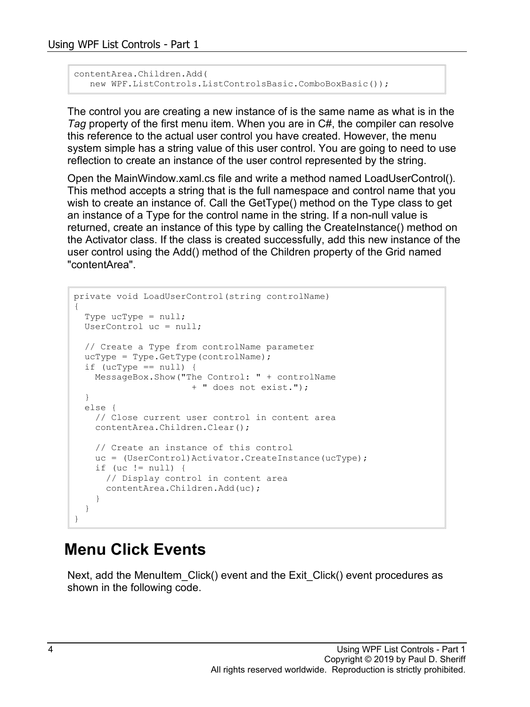```
contentArea.Children.Add(
  new WPF.ListControls.ListControlsBasic.ComboBoxBasic());
```
The control you are creating a new instance of is the same name as what is in the *Tag* property of the first menu item. When you are in C#, the compiler can resolve this reference to the actual user control you have created. However, the menu system simple has a string value of this user control. You are going to need to use reflection to create an instance of the user control represented by the string.

Open the MainWindow.xaml.cs file and write a method named LoadUserControl(). This method accepts a string that is the full namespace and control name that you wish to create an instance of. Call the GetType() method on the Type class to get an instance of a Type for the control name in the string. If a non-null value is returned, create an instance of this type by calling the CreateInstance() method on the Activator class. If the class is created successfully, add this new instance of the user control using the Add() method of the Children property of the Grid named "contentArea".

```
private void LoadUserControl(string controlName)
{
   Type ucType = null;
  UserControl uc = null;
   // Create a Type from controlName parameter
  ucType = Type.GetType(controlName) ;
  if (ucType == null) {
    MessageBox.Show("The Control: " + controlName
                       + " does not exist.");
   }
   else {
    // Close current user control in content area
     contentArea.Children.Clear();
     // Create an instance of this control
    uc = (UserControl)Activator.CreateInstance(ucType);
    if (uc != null) {
       // Display control in content area
      contentArea.Children.Add(uc);
     }
   }
}
```
#### **Menu Click Events**

Next, add the MenuItem Click() event and the Exit Click() event procedures as shown in the following code.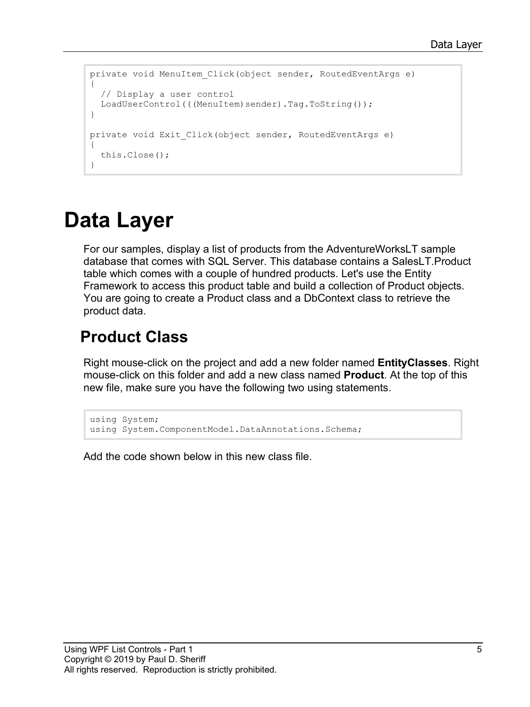```
private void MenuItem Click(object sender, RoutedEventArgs e)
{
  // Display a user control
  LoadUserControl(((MenuItem)sender).Tag.ToString());
}
private void Exit Click(object sender, RoutedEventArgs e)
{
   this.Close();
}
```
## **Data Layer**

For our samples, display a list of products from the AdventureWorksLT sample database that comes with SQL Server. This database contains a SalesLT.Product table which comes with a couple of hundred products. Let's use the Entity Framework to access this product table and build a collection of Product objects. You are going to create a Product class and a DbContext class to retrieve the product data.

#### **Product Class**

Right mouse-click on the project and add a new folder named **EntityClasses**. Right mouse-click on this folder and add a new class named **Product**. At the top of this new file, make sure you have the following two using statements.

```
using System;
using System.ComponentModel.DataAnnotations.Schema;
```
Add the code shown below in this new class file.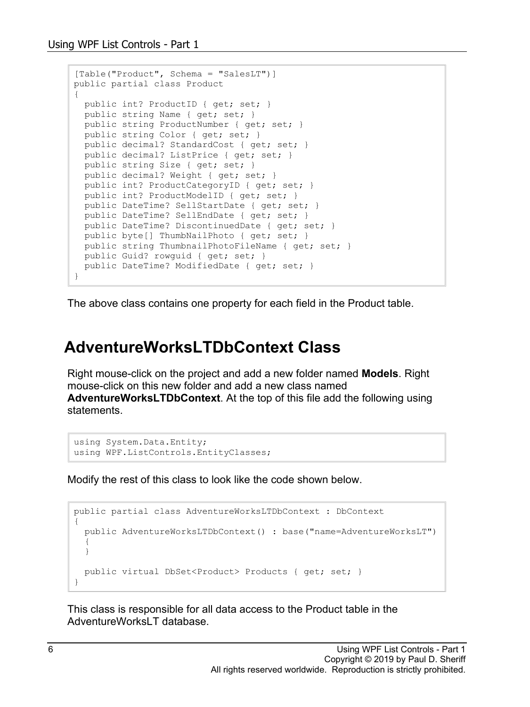```
[Table("Product", Schema = "SalesLT")]
public partial class Product
{
 public int? ProductID { get; set; }
   public string Name { get; set; }
  public string ProductNumber { get; set; }
  public string Color { get; set; }
 public decimal? StandardCost { get; set; }
  public decimal? ListPrice { get; set; }
   public string Size { get; set; }
  public decimal? Weight { get; set; }
  public int? ProductCategoryID { get; set; }
   public int? ProductModelID { get; set; }
 public DateTime? SellStartDate { get; set; }
  public DateTime? SellEndDate { get; set; }
  public DateTime? DiscontinuedDate { get; set; }
  public byte[] ThumbNailPhoto { get; set; }
 public string ThumbnailPhotoFileName { get; set; }
  public Guid? rowguid { get; set; }
 public DateTime? ModifiedDate { get; set; }
}
```
The above class contains one property for each field in the Product table.

#### **AdventureWorksLTDbContext Class**

Right mouse-click on the project and add a new folder named **Models**. Right mouse-click on this new folder and add a new class named **AdventureWorksLTDbContext**. At the top of this file add the following using statements.

```
using System.Data.Entity;
using WPF.ListControls.EntityClasses;
```
Modify the rest of this class to look like the code shown below.

```
public partial class AdventureWorksLTDbContext : DbContext
{
   public AdventureWorksLTDbContext() : base("name=AdventureWorksLT")
\{ }
  public virtual DbSet<Product> Products { get; set; }
}
```
This class is responsible for all data access to the Product table in the AdventureWorksLT database.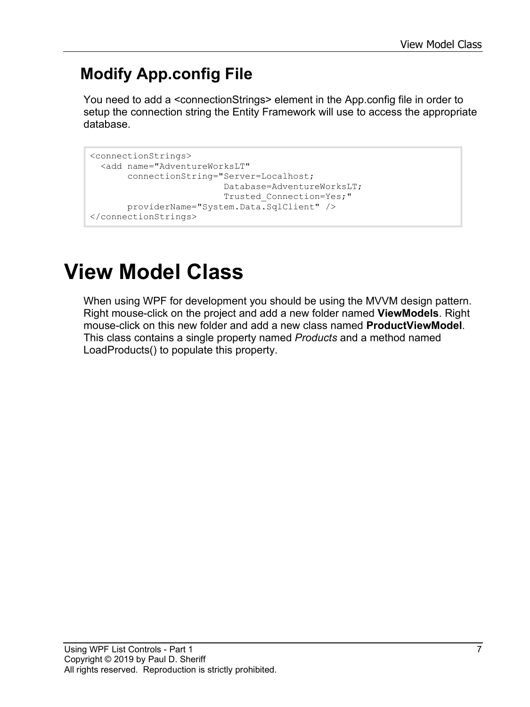### **Modify App.config File**

You need to add a <connectionStrings> element in the App.config file in order to setup the connection string the Entity Framework will use to access the appropriate database.

```
<connectionStrings>
   <add name="AdventureWorksLT" 
        connectionString="Server=Localhost;
                          Database=AdventureWorksLT;
                         Trusted_Connection=Yes;"
        providerName="System.Data.SqlClient" />
</connectionStrings>
```
## **View Model Class**

When using WPF for development you should be using the MVVM design pattern. Right mouse-click on the project and add a new folder named **ViewModels**. Right mouse-click on this new folder and add a new class named **ProductViewModel**. This class contains a single property named *Products* and a method named LoadProducts() to populate this property.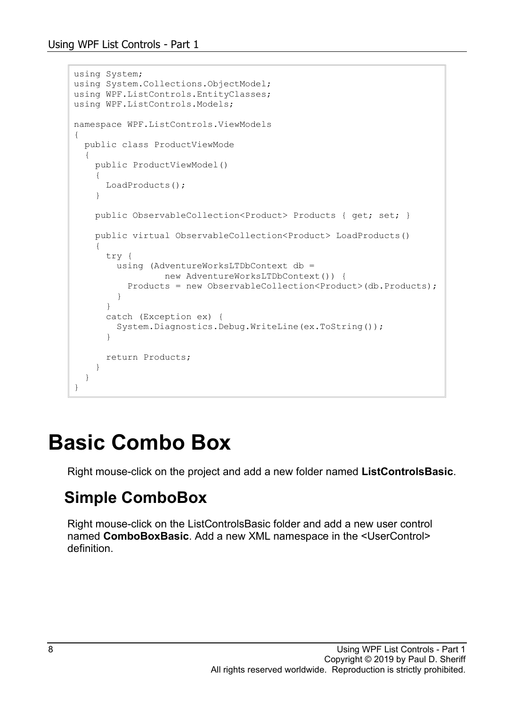```
using System;
using System.Collections.ObjectModel;
using WPF.ListControls.EntityClasses;
using WPF.ListControls.Models;
namespace WPF.ListControls.ViewModels
{
   public class ProductViewMode
   {
    public ProductViewModel()
     {
       LoadProducts();
     }
   public ObservableCollection<Product> Products { get; set; }
   public virtual ObservableCollection<Product> LoadProducts()
     {
      try {
       using (AdventureWorksLTDbContext db =
                 new AdventureWorksLTDbContext()) {
          Products = new ObservableCollection<Product>(db.Products);
 }
 }
       catch (Exception ex) {
      System.Diagnostics.Debug.WriteLine(ex.ToString());
 }
       return Products;
     }
   }
}
```
## **Basic Combo Box**

Right mouse-click on the project and add a new folder named **ListControlsBasic**.

#### **Simple ComboBox**

Right mouse-click on the ListControlsBasic folder and add a new user control named **ComboBoxBasic**. Add a new XML namespace in the <UserControl> definition.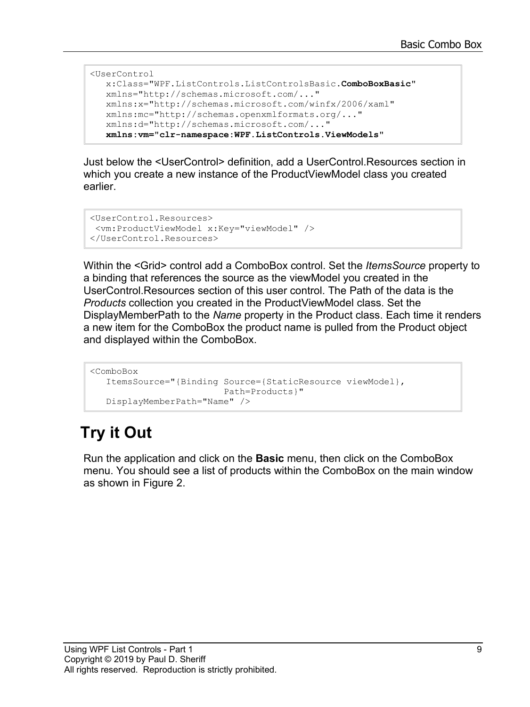```
<UserControl
   x:Class="WPF.ListControls.ListControlsBasic.ComboBoxBasic"
   xmlns="http://schemas.microsoft.com/..."
   xmlns:x="http://schemas.microsoft.com/winfx/2006/xaml"
   xmlns:mc="http://schemas.openxmlformats.org/..."
   xmlns:d="http://schemas.microsoft.com/..."
   xmlns:vm="clr-namespace:WPF.ListControls.ViewModels"
```
Just below the <UserControl> definition, add a UserControl.Resources section in which you create a new instance of the ProductViewModel class you created earlier.

```
<UserControl.Resources>
<vm:ProductViewModel x:Key="viewModel" />
</UserControl.Resources>
```
Within the <Grid> control add a ComboBox control. Set the *ItemsSource* property to a binding that references the source as the viewModel you created in the UserControl.Resources section of this user control. The Path of the data is the *Products* collection you created in the ProductViewModel class. Set the DisplayMemberPath to the *Name* property in the Product class. Each time it renders a new item for the ComboBox the product name is pulled from the Product object and displayed within the ComboBox.

```
<ComboBox 
   ItemsSource="{Binding Source={StaticResource viewModel},
                          Path=Products}"
   DisplayMemberPath="Name" />
```
## **Try it Out**

Run the application and click on the **Basic** menu, then click on the ComboBox menu. You should see a list of products within the ComboBox on the main window as shown in Figure 2.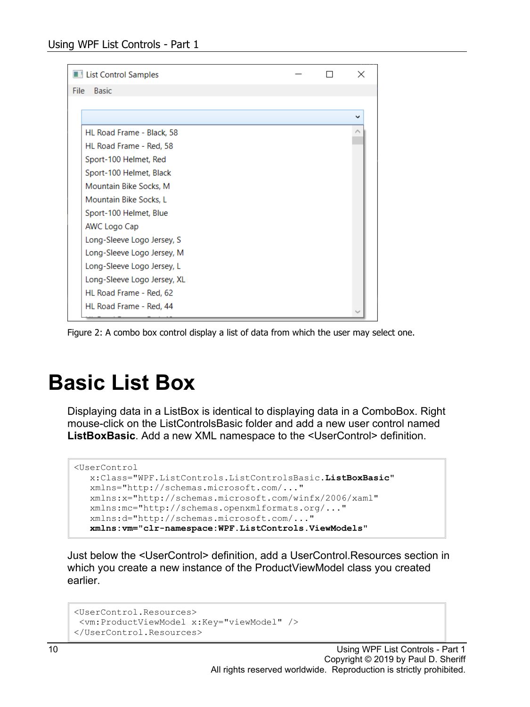| <b>List Control Samples</b> |  | $\times$ |
|-----------------------------|--|----------|
| <b>Basic</b><br><b>File</b> |  |          |
|                             |  |          |
|                             |  | w        |
| HL Road Frame - Black, 58   |  |          |
| HL Road Frame - Red, 58     |  |          |
| Sport-100 Helmet, Red       |  |          |
| Sport-100 Helmet, Black     |  |          |
| Mountain Bike Socks, M      |  |          |
| Mountain Bike Socks, L      |  |          |
| Sport-100 Helmet, Blue      |  |          |
| AWC Logo Cap                |  |          |
| Long-Sleeve Logo Jersey, S  |  |          |
| Long-Sleeve Logo Jersey, M  |  |          |
| Long-Sleeve Logo Jersey, L  |  |          |
| Long-Sleeve Logo Jersey, XL |  |          |
| HL Road Frame - Red, 62     |  |          |
| HL Road Frame - Red, 44     |  |          |

Figure 2: A combo box control display a list of data from which the user may select one.

## **Basic List Box**

Displaying data in a ListBox is identical to displaying data in a ComboBox. Right mouse-click on the ListControlsBasic folder and add a new user control named **ListBoxBasic**. Add a new XML namespace to the <UserControl> definition.

```
<UserControl
   x:Class="WPF.ListControls.ListControlsBasic.ListBoxBasic"
   xmlns="http://schemas.microsoft.com/..."
   xmlns:x="http://schemas.microsoft.com/winfx/2006/xaml"
   xmlns:mc="http://schemas.openxmlformats.org/..."
    xmlns:d="http://schemas.microsoft.com/..."
    xmlns:vm="clr-namespace:WPF.ListControls.ViewModels"
```
Just below the <UserControl> definition, add a UserControl.Resources section in which you create a new instance of the ProductViewModel class you created earlier.

```
<UserControl.Resources>
<vm:ProductViewModel x:Key="viewModel" />
</UserControl.Resources>
```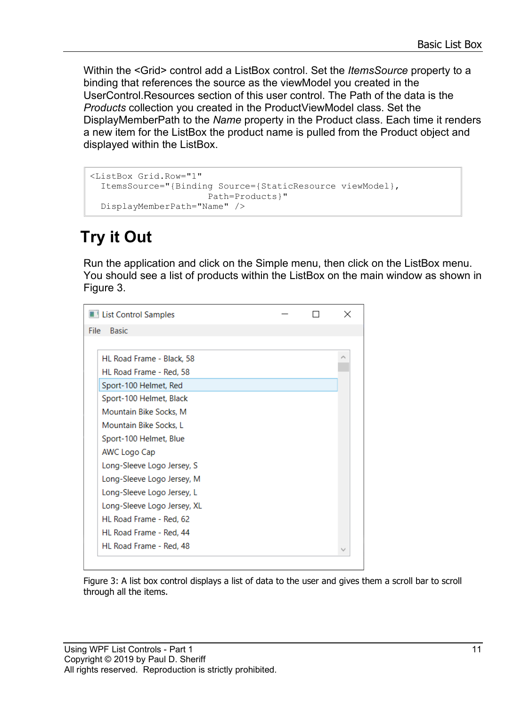Within the <Grid> control add a ListBox control. Set the *ItemsSource* property to a binding that references the source as the viewModel you created in the UserControl.Resources section of this user control. The Path of the data is the *Products* collection you created in the ProductViewModel class. Set the DisplayMemberPath to the *Name* property in the Product class. Each time it renders a new item for the ListBox the product name is pulled from the Product object and displayed within the ListBox.

```
<ListBox Grid.Row="1"
  ItemsSource="{Binding Source={StaticResource viewModel},
                      Path=Products}"
  DisplayMemberPath="Name" />
```
### **Try it Out**

Run the application and click on the Simple menu, then click on the ListBox menu. You should see a list of products within the ListBox on the main window as shown in Figure 3.

| I List Control Samples      |  |  |
|-----------------------------|--|--|
| <b>Basic</b><br>File        |  |  |
|                             |  |  |
| HL Road Frame - Black, 58   |  |  |
| HL Road Frame - Red, 58     |  |  |
| Sport-100 Helmet, Red       |  |  |
| Sport-100 Helmet, Black     |  |  |
| Mountain Bike Socks, M      |  |  |
| Mountain Bike Socks, L      |  |  |
| Sport-100 Helmet, Blue      |  |  |
| AWC Logo Cap                |  |  |
| Long-Sleeve Logo Jersey, S  |  |  |
| Long-Sleeve Logo Jersey, M  |  |  |
| Long-Sleeve Logo Jersey, L  |  |  |
| Long-Sleeve Logo Jersey, XL |  |  |
| HL Road Frame - Red. 62     |  |  |
| HL Road Frame - Red, 44     |  |  |
| HL Road Frame - Red. 48     |  |  |
|                             |  |  |

Figure 3: A list box control displays a list of data to the user and gives them a scroll bar to scroll through all the items.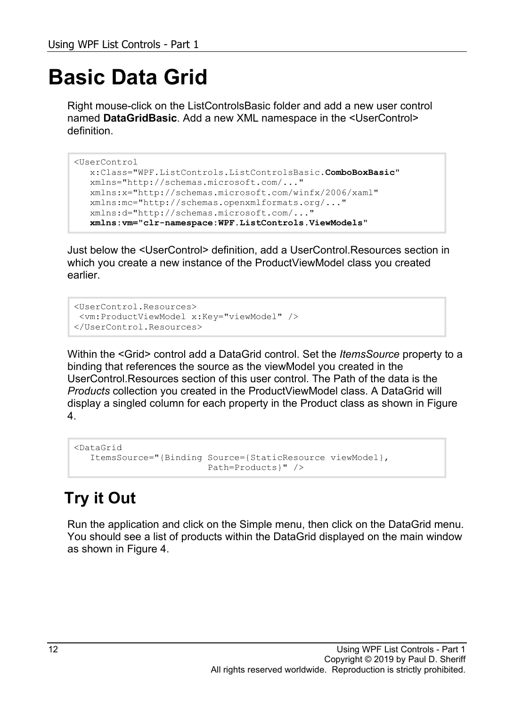## **Basic Data Grid**

Right mouse-click on the ListControlsBasic folder and add a new user control named **DataGridBasic**. Add a new XML namespace in the <UserControl> definition.

```
<UserControl
   x:Class="WPF.ListControls.ListControlsBasic.ComboBoxBasic"
   xmlns="http://schemas.microsoft.com/..."
   xmlns:x="http://schemas.microsoft.com/winfx/2006/xaml"
   xmlns:mc="http://schemas.openxmlformats.org/..."
   xmlns:d="http://schemas.microsoft.com/..."
   xmlns:vm="clr-namespace:WPF.ListControls.ViewModels"
```
Just below the <UserControl> definition, add a UserControl.Resources section in which you create a new instance of the ProductViewModel class you created earlier.

```
<UserControl.Resources>
<vm:ProductViewModel x:Key="viewModel" />
</UserControl.Resources>
```
Within the <Grid> control add a DataGrid control. Set the *ItemsSource* property to a binding that references the source as the viewModel you created in the UserControl.Resources section of this user control. The Path of the data is the *Products* collection you created in the ProductViewModel class. A DataGrid will display a singled column for each property in the Product class as shown in Figure 4.

```
<DataGrid
    ItemsSource="{Binding Source={StaticResource viewModel},
                           Path=Products}" />
```
#### **Try it Out**

Run the application and click on the Simple menu, then click on the DataGrid menu. You should see a list of products within the DataGrid displayed on the main window as shown in Figure 4.